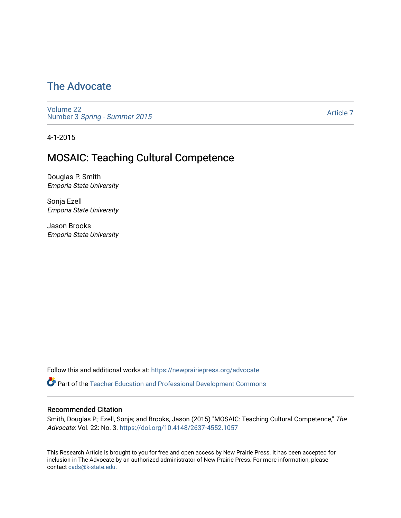### [The Advocate](https://newprairiepress.org/advocate)

[Volume 22](https://newprairiepress.org/advocate/vol22) Number 3 [Spring - Summer 2015](https://newprairiepress.org/advocate/vol22/iss3) 

[Article 7](https://newprairiepress.org/advocate/vol22/iss3/7) 

4-1-2015

### MOSAIC: Teaching Cultural Competence

Douglas P. Smith Emporia State University

Sonja Ezell Emporia State University

Jason Brooks Emporia State University

Follow this and additional works at: [https://newprairiepress.org/advocate](https://newprairiepress.org/advocate?utm_source=newprairiepress.org%2Fadvocate%2Fvol22%2Fiss3%2F7&utm_medium=PDF&utm_campaign=PDFCoverPages) 

Part of the [Teacher Education and Professional Development Commons](http://network.bepress.com/hgg/discipline/803?utm_source=newprairiepress.org%2Fadvocate%2Fvol22%2Fiss3%2F7&utm_medium=PDF&utm_campaign=PDFCoverPages) 

#### Recommended Citation

Smith, Douglas P.; Ezell, Sonja; and Brooks, Jason (2015) "MOSAIC: Teaching Cultural Competence," The Advocate: Vol. 22: No. 3. <https://doi.org/10.4148/2637-4552.1057>

This Research Article is brought to you for free and open access by New Prairie Press. It has been accepted for inclusion in The Advocate by an authorized administrator of New Prairie Press. For more information, please contact [cads@k-state.edu](mailto:cads@k-state.edu).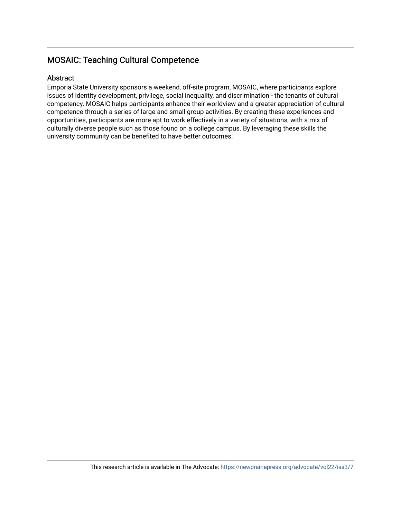#### MOSAIC: Teaching Cultural Competence

#### Abstract

Emporia State University sponsors a weekend, off-site program, MOSAIC, where participants explore issues of identity development, privilege, social inequality, and discrimination - the tenants of cultural competency. MOSAIC helps participants enhance their worldview and a greater appreciation of cultural competence through a series of large and small group activities. By creating these experiences and opportunities, participants are more apt to work effectively in a variety of situations, with a mix of culturally diverse people such as those found on a college campus. By leveraging these skills the university community can be benefited to have better outcomes.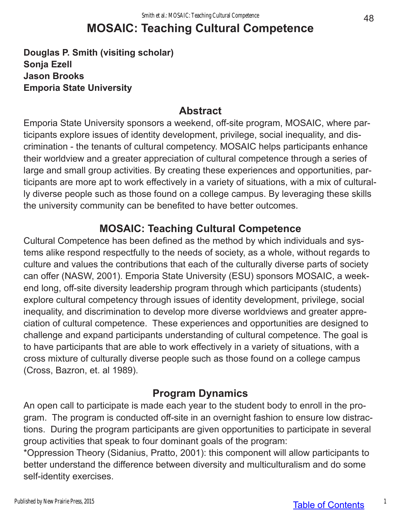# **MOSAIC: Teaching Cultural Competence**

**Douglas P. Smith (visiting scholar) Sonja Ezell Jason Brooks Emporia State University**

#### **Abstract**

Emporia State University sponsors a weekend, off-site program, MOSAIC, where participants explore issues of identity development, privilege, social inequality, and discrimination - the tenants of cultural competency. MOSAIC helps participants enhance their worldview and a greater appreciation of cultural competence through a series of large and small group activities. By creating these experiences and opportunities, participants are more apt to work effectively in a variety of situations, with a mix of culturally diverse people such as those found on a college campus. By leveraging these skills the university community can be benefited to have better outcomes.

### **MOSAIC: Teaching Cultural Competence**

Cultural Competence has been defined as the method by which individuals and systems alike respond respectfully to the needs of society, as a whole, without regards to culture and values the contributions that each of the culturally diverse parts of society can offer (NASW, 2001). Emporia State University (ESU) sponsors MOSAIC, a weekend long, off-site diversity leadership program through which participants (students) explore cultural competency through issues of identity development, privilege, social inequality, and discrimination to develop more diverse worldviews and greater appreciation of cultural competence. These experiences and opportunities are designed to challenge and expand participants understanding of cultural competence. The goal is to have participants that are able to work effectively in a variety of situations, with a cross mixture of culturally diverse people such as those found on a college campus (Cross, Bazron, et. al 1989).

#### **Program Dynamics**

An open call to participate is made each year to the student body to enroll in the program. The program is conducted off-site in an overnight fashion to ensure low distractions. During the program participants are given opportunities to participate in several group activities that speak to four dominant goals of the program:

\*Oppression Theory (Sidanius, Pratto, 2001): this component will allow participants to better understand the difference between diversity and multiculturalism and do some self-identity exercises.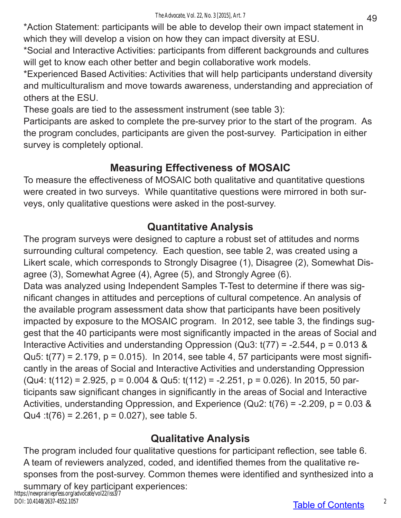\*Action Statement: participants will be able to develop their own impact statement in which they will develop a vision on how they can impact diversity at ESU.

\*Social and Interactive Activities: participants from different backgrounds and cultures will get to know each other better and begin collaborative work models.

\*Experienced Based Activities: Activities that will help participants understand diversity and multiculturalism and move towards awareness, understanding and appreciation of others at the ESU.

These goals are tied to the assessment instrument (see table 3):

Participants are asked to complete the pre-survey prior to the start of the program. As the program concludes, participants are given the post-survey. Participation in either survey is completely optional.

## **Measuring Effectiveness of MOSAIC**

To measure the effectiveness of MOSAIC both qualitative and quantitative questions were created in two surveys. While quantitative questions were mirrored in both surveys, only qualitative questions were asked in the post-survey.

## **Quantitative Analysis**

The program surveys were designed to capture a robust set of attitudes and norms surrounding cultural competency. Each question, see table 2, was created using a Likert scale, which corresponds to Strongly Disagree (1), Disagree (2), Somewhat Disagree (3), Somewhat Agree (4), Agree (5), and Strongly Agree (6). Data was analyzed using Independent Samples T-Test to determine if there was significant changes in attitudes and perceptions of cultural competence. An analysis of the available program assessment data show that participants have been positively impacted by exposure to the MOSAIC program. In 2012, see table 3, the findings suggest that the 40 participants were most significantly impacted in the areas of Social and Interactive Activities and understanding Oppression (Qu3:  $t(77) = -2.544$ ,  $p = 0.013$  & Qu5:  $t(77) = 2.179$ ,  $p = 0.015$ ). In 2014, see table 4, 57 participants were most significantly in the areas of Social and Interactive Activities and understanding Oppression (Qu4: t(112) = 2.925, p = 0.004 & Qu5: t(112) = -2.251, p = 0.026). In 2015, 50 participants saw significant changes in significantly in the areas of Social and Interactive Activities, understanding Oppression, and Experience (Qu2: t(76) = -2.209, p = 0.03 & Qu4 : $t(76) = 2.261$ ,  $p = 0.027$ ), see table 5.

### **Qualitative Analysis**

The program included four qualitative questions for participant reflection, see table 6. A team of reviewers analyzed, coded, and identified themes from the qualitative responses from the post-survey. Common themes were identified and synthesized into a

summary of key participant experiences: https://newprairiepress.org/advocate/vol22/iss3/7 DOI: 10.4148/2637-4552.1057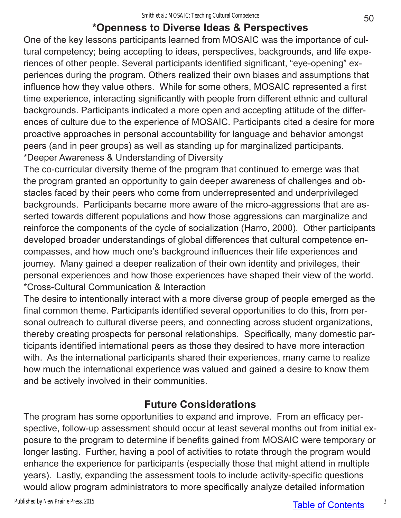### **\*Openness to Diverse Ideas & Perspectives**

One of the key lessons participants learned from MOSAIC was the importance of cultural competency; being accepting to ideas, perspectives, backgrounds, and life experiences of other people. Several participants identified significant, "eye-opening" experiences during the program. Others realized their own biases and assumptions that influence how they value others. While for some others, MOSAIC represented a first time experience, interacting significantly with people from different ethnic and cultural backgrounds. Participants indicated a more open and accepting attitude of the differences of culture due to the experience of MOSAIC. Participants cited a desire for more proactive approaches in personal accountability for language and behavior amongst peers (and in peer groups) as well as standing up for marginalized participants. \*Deeper Awareness & Understanding of Diversity

The co-curricular diversity theme of the program that continued to emerge was that the program granted an opportunity to gain deeper awareness of challenges and obstacles faced by their peers who come from underrepresented and underprivileged backgrounds. Participants became more aware of the micro-aggressions that are asserted towards different populations and how those aggressions can marginalize and reinforce the components of the cycle of socialization (Harro, 2000). Other participants developed broader understandings of global differences that cultural competence encompasses, and how much one's background influences their life experiences and journey. Many gained a deeper realization of their own identity and privileges, their personal experiences and how those experiences have shaped their view of the world. \*Cross-Cultural Communication & Interaction

The desire to intentionally interact with a more diverse group of people emerged as the final common theme. Participants identified several opportunities to do this, from personal outreach to cultural diverse peers, and connecting across student organizations, thereby creating prospects for personal relationships. Specifically, many domestic participants identified international peers as those they desired to have more interaction with. As the international participants shared their experiences, many came to realize how much the international experience was valued and gained a desire to know them and be actively involved in their communities.

### **Future Considerations**

The program has some opportunities to expand and improve. From an efficacy perspective, follow-up assessment should occur at least several months out from initial exposure to the program to determine if benefits gained from MOSAIC were temporary or longer lasting. Further, having a pool of activities to rotate through the program would enhance the experience for participants (especially those that might attend in multiple years). Lastly, expanding the assessment tools to include activity-specific questions would allow program administrators to more specifically analyze detailed information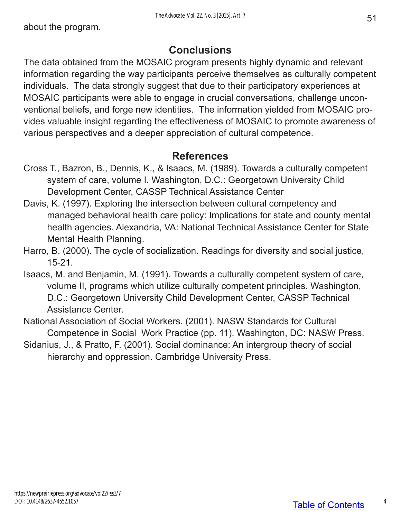### **Conclusions**

The data obtained from the MOSAIC program presents highly dynamic and relevant information regarding the way participants perceive themselves as culturally competent individuals. The data strongly suggest that due to their participatory experiences at MOSAIC participants were able to engage in crucial conversations, challenge unconventional beliefs, and forge new identities. The information yielded from MOSAIC provides valuable insight regarding the effectiveness of MOSAIC to promote awareness of various perspectives and a deeper appreciation of cultural competence.

### **References**

- Cross T., Bazron, B., Dennis, K., & Isaacs, M. (1989). Towards a culturally competent system of care, volume I. Washington, D.C.: Georgetown University Child Development Center, CASSP Technical Assistance Center
- Davis, K. (1997). Exploring the intersection between cultural competency and managed behavioral health care policy: Implications for state and county mental health agencies. Alexandria, VA: National Technical Assistance Center for State Mental Health Planning.
- Harro, B. (2000). The cycle of socialization. Readings for diversity and social justice, 15-21.
- Isaacs, M. and Benjamin, M. (1991). Towards a culturally competent system of care, volume II, programs which utilize culturally competent principles. Washington, D.C.: Georgetown University Child Development Center, CASSP Technical Assistance Center.
- National Association of Social Workers. (2001). NASW Standards for Cultural Competence in Social Work Practice (pp. 11). Washington, DC: NASW Press.
- Sidanius, J., & Pratto, F. (2001). Social dominance: An intergroup theory of social hierarchy and oppression. Cambridge University Press.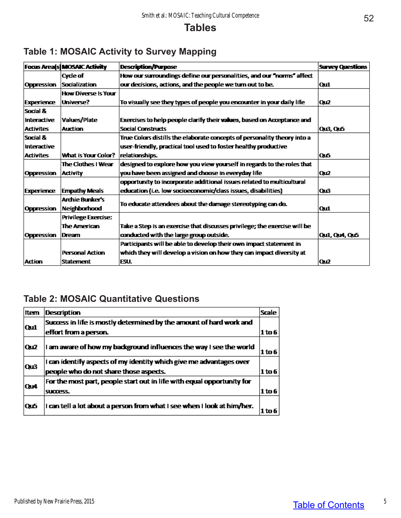### **Tables**

|                     | <b>Focus Area[s] MOSAIC Activity</b> | <b>Description/Purpose</b>                                                | <b>Survey Questions</b> |
|---------------------|--------------------------------------|---------------------------------------------------------------------------|-------------------------|
|                     | Cycle of                             | How our surroundings define our personalities, and our "norms" affect     |                         |
| Oppression          | <b>Socialization</b>                 | our decisions, actions, and the people we turn out to be.                 | Oш1                     |
|                     | <b>How Diverse Is Your</b>           |                                                                           |                         |
| Experience          | Universe?                            | To visually see they types of people you encounter in your daily life     | Qu2                     |
| Social &            |                                      |                                                                           |                         |
| Interactive         | Values/Plate                         | Exercises to help people clarify their values, based on Acceptance and    |                         |
| <b>Activites</b>    | <b>Auction</b>                       | <b>Social Constructs</b>                                                  | Qu3, Qu5                |
| <b>Social &amp;</b> |                                      | True Colors distills the elaborate concepts of personality theory into a  |                         |
| <b>Interactive</b>  |                                      | user-friendly, practical tool used to foster healthy productive           |                         |
| <b>Activites</b>    | What is Your Color?                  | relationships.                                                            | Oиб                     |
|                     | The Clothes I Wear                   | designed to explore how you view yourself in regards to the roles that    |                         |
| Oppression          | <b>Activity</b>                      | you have been assigned and choose in everyday life                        | Qu2                     |
|                     |                                      | opportunity to incorporate additional issues related to multicultural     |                         |
| Experience          | <b>Empathy Meals</b>                 | education (i.e. low socioeconomic/class issues, disabilities)             | Qu3                     |
|                     | <b>Archie Bunker's</b>               | To educate attendees about the damage stereotyping can do.                |                         |
| Oppression          | Neighborhood                         |                                                                           | Qш1                     |
|                     | <b>Privilege Exercise:</b>           |                                                                           |                         |
|                     | <b>The American</b>                  | Take a Step is an exercise that discusses privilege; the exercise will be |                         |
| Oppression          | Dream                                | conducted with the large group outside.                                   | <b>Qui, Qu4, Qu5</b>    |
|                     |                                      | Participants will be able to develop their own impact statement in        |                         |
|                     | <b>Personal Action</b>               | which they will develop a vision on how they can impact diversity at      |                         |
| <b>Action</b>       | <b>Statement</b>                     | IESU.                                                                     | lΩu2                    |

### **Table 1: MOSAIC Activity to Survey Mapping**

### **Table 2: MOSAIC Quantitative Questions**

| Item | Description                                                             | <b>Scale</b> |  |  |  |  |
|------|-------------------------------------------------------------------------|--------------|--|--|--|--|
|      | Success in life is mostly determined by the amount of hard work and     |              |  |  |  |  |
| Quil | effort from a person.                                                   | 1 to 6       |  |  |  |  |
| Qu2  | I am aware of how my background influences the way I see the world      | 1 to 6       |  |  |  |  |
|      | I can identify aspects of my identity which give me advantages over     |              |  |  |  |  |
| Qu3  | people who do not share those aspects.                                  | $1$ to 6     |  |  |  |  |
| Qu4  | For the most part, people start out in life with equal opportunity for  |              |  |  |  |  |
|      | success.                                                                | 1 to 6       |  |  |  |  |
| Qu5  | I can tell a lot about a person from what I see when I look at him/her. | l to 6       |  |  |  |  |